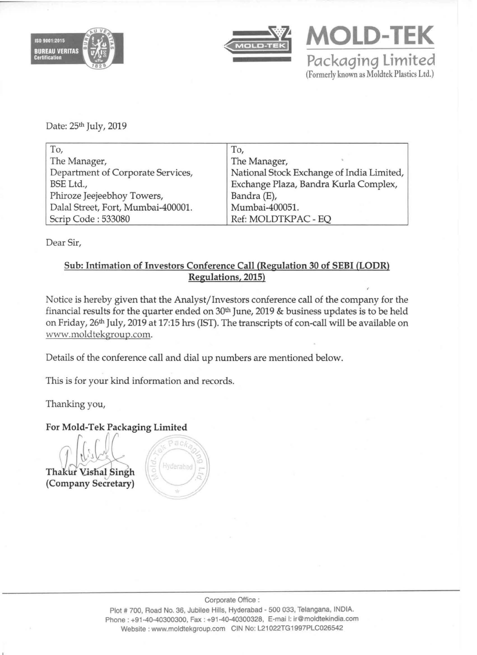





Date: 25<sup>th</sup> July, 2019

| To,                                | To,                                       |
|------------------------------------|-------------------------------------------|
| The Manager,                       | The Manager,                              |
| Department of Corporate Services,  | National Stock Exchange of India Limited, |
| BSE Ltd.,                          | Exchange Plaza, Bandra Kurla Complex,     |
| Phiroze Jeejeebhoy Towers,         | Bandra (E),                               |
| Dalal Street, Fort, Mumbai-400001. | Mumbai-400051.                            |
| Scrip Code: 533080                 | Ref: MOLDTKPAC - EQ                       |

Dear Sir,

#### Sub: Intimation of Investors Conference Call (Regulation 30 of SEBI (LODR) Regulations, 2015)

Notice is hereby given that the Analyst/Investors conference calI of the company for the financial results for the quarter ended on  $30<sup>th</sup>$  June, 2019 & business updates is to be held on Friday, 26th July, 2019 at 17:15 hrs (1ST). The transcripts of con-call will be available on www.moldtekgroup.com.

Details of the conference call and dial up numbers are mentioned below.

This is for your kind information and records.

Thanking you,

## For Mold-Tek Packaging Limited